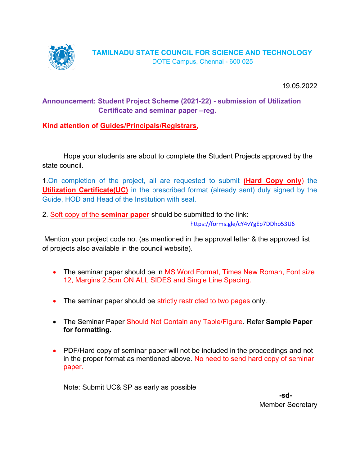

19.05.2022

# Announcement: Student Project Scheme (2021-22) - submission of Utilization Certificate and seminar paper –reg.

Kind attention of Guides/Principals/Registrars,

 Hope your students are about to complete the Student Projects approved by the state council.

1. On completion of the project, all are requested to submit (Hard Copy only) the Utilization Certificate(UC) in the prescribed format (already sent) duly signed by the Guide, HOD and Head of the Institution with seal.

2. Soft copy of the **seminar paper** should be submitted to the link:

https://forms.gle/cY4vYgEp7DDho53U6

 Mention your project code no. (as mentioned in the approval letter & the approved list of projects also available in the council website).

- The seminar paper should be in MS Word Format, Times New Roman, Font size 12, Margins 2.5cm ON ALL SIDES and Single Line Spacing.
- The seminar paper should be strictly restricted to two pages only.
- The Seminar Paper Should Not Contain any Table/Figure. Refer Sample Paper for formatting.
- PDF/Hard copy of seminar paper will not be included in the proceedings and not in the proper format as mentioned above. No need to send hard copy of seminar paper.

Note: Submit UC& SP as early as possible

-sd-Member Secretary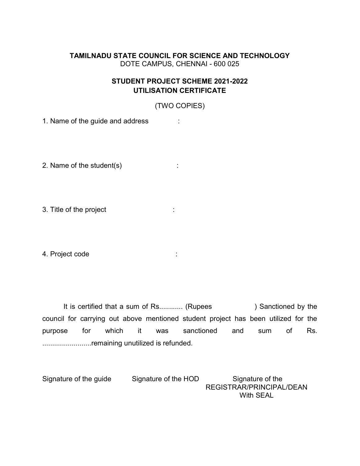## TAMILNADU STATE COUNCIL FOR SCIENCE AND TECHNOLOGY DOTE CAMPUS, CHENNAI - 600 025

## STUDENT PROJECT SCHEME 2021-2022 UTILISATION CERTIFICATE

(TWO COPIES)

1. Name of the guide and address :

2. Name of the student(s)  $\qquad \qquad$ :

3. Title of the project :

4. Project code :

It is certified that a sum of Rs............ (Rupees ) Sanctioned by the council for carrying out above mentioned student project has been utilized for the purpose for which it was sanctioned and sum of Rs. .........................remaining unutilized is refunded.

Signature of the guide Signature of the HOD Signature of the REGISTRAR/PRINCIPAL/DEAN With SEAL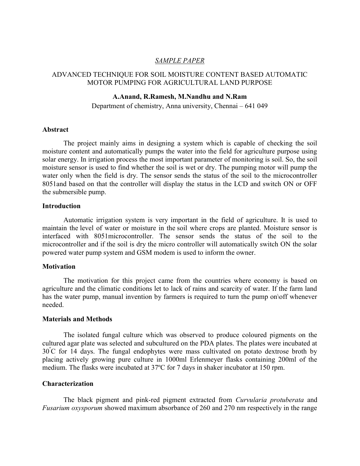## SAMPLE PAPER

## ADVANCED TECHNIQUE FOR SOIL MOISTURE CONTENT BASED AUTOMATIC MOTOR PUMPING FOR AGRICULTURAL LAND PURPOSE

#### A.Anand, R.Ramesh, M.Nandhu and N.Ram

Department of chemistry, Anna university, Chennai – 641 049

#### Abstract

The project mainly aims in designing a system which is capable of checking the soil moisture content and automatically pumps the water into the field for agriculture purpose using solar energy. In irrigation process the most important parameter of monitoring is soil. So, the soil moisture sensor is used to find whether the soil is wet or dry. The pumping motor will pump the water only when the field is dry. The sensor sends the status of the soil to the microcontroller 8051and based on that the controller will display the status in the LCD and switch ON or OFF the submersible pump.

#### Introduction

Automatic irrigation system is very important in the field of agriculture. It is used to maintain the level of water or moisture in the soil where crops are planted. Moisture sensor is interfaced with 8051microcontroller. The sensor sends the status of the soil to the microcontroller and if the soil is dry the micro controller will automatically switch ON the solar powered water pump system and GSM modem is used to inform the owner.

#### **Motivation**

The motivation for this project came from the countries where economy is based on agriculture and the climatic conditions let to lack of rains and scarcity of water. If the farm land has the water pump, manual invention by farmers is required to turn the pump on\off whenever needed.

#### Materials and Methods

 The isolated fungal culture which was observed to produce coloured pigments on the cultured agar plate was selected and subcultured on the PDA plates. The plates were incubated at  $30^{\circ}$ C for 14 days. The fungal endophytes were mass cultivated on potato dextrose broth by placing actively growing pure culture in 1000ml Erlenmeyer flasks containing 200ml of the medium. The flasks were incubated at 37ºC for 7 days in shaker incubator at 150 rpm.

#### Characterization

The black pigment and pink-red pigment extracted from Curvularia protuberata and Fusarium oxysporum showed maximum absorbance of 260 and 270 nm respectively in the range